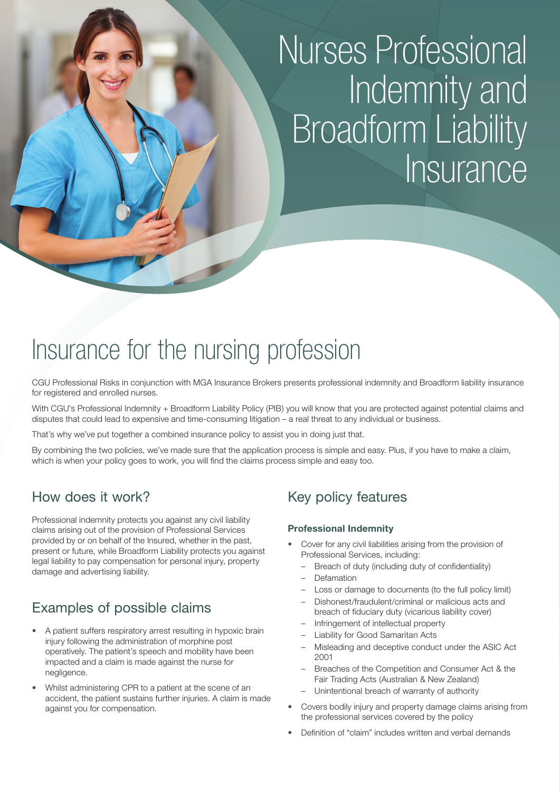# Nurses Professional Indemnity and **Broadform Liability Insurance**

## Insurance for the nursing profession

CGU Professional Risks in conjunction with MGA Insurance Brokers presents professional indemnity and Broadform liability insurance for registered and enrolled nurses.

With CGU's Professional Indemnity + Broadform Liability Policy (PIB) you will know that you are protected against potential claims and disputes that could lead to expensive and time-consuming litigation – a real threat to any individual or business.

That's why we've put together a combined insurance policy to assist you in doing just that.

By combining the two policies, we've made sure that the application process is simple and easy. Plus, if you have to make a claim, which is when your policy goes to work, you will find the claims process simple and easy too.

### How does it work?

Professional indemnity protects you against any civil liability claims arising out of the provision of Professional Services provided by or on behalf of the Insured, whether in the past, present or future, while Broadform Liability protects you against legal liability to pay compensation for personal injury, property damage and advertising liability.

## Examples of possible claims

- A patient suffers respiratory arrest resulting in hypoxic brain injury following the administration of morphine post operatively. The patient's speech and mobility have been impacted and a claim is made against the nurse for negligence.
- Whilst administering CPR to a patient at the scene of an accident, the patient sustains further injuries. A claim is made against you for compensation.

## Key policy features

#### **Professional Indemnity**

- Cover for any civil liabilities arising from the provision of Professional Services, including:
	- Breach of duty (including duty of confidentiality)
	- Defamation
	- Loss or damage to documents (to the full policy limit)
	- Dishonest/fraudulent/criminal or malicious acts and breach of fiduciary duty (vicarious liability cover)
	- Infringement of intellectual property
	- Liability for Good Samaritan Acts
	- Misleading and deceptive conduct under the ASIC Act 2001
	- Breaches of the Competition and Consumer Act & the Fair Trading Acts (Australian & New Zealand)
	- Unintentional breach of warranty of authority
- Covers bodily injury and property damage claims arising from the professional services covered by the policy
- Definition of "claim" includes written and verbal demands